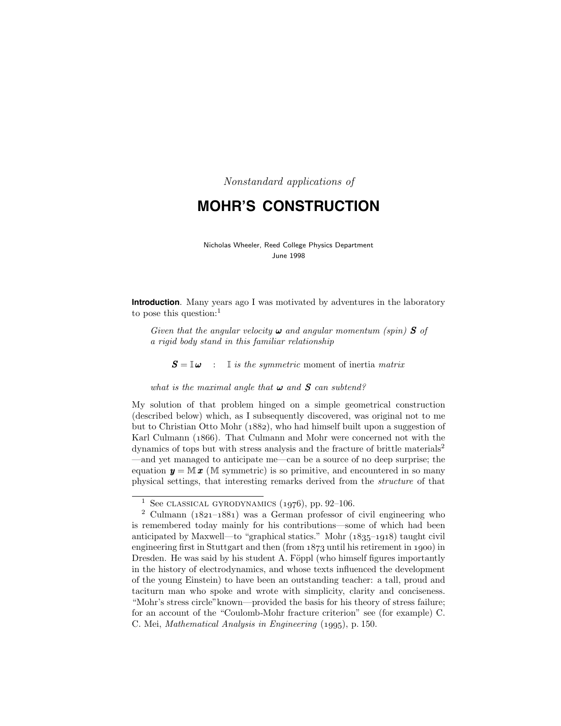Nonstandard applications of

# **MOHR'S CONSTRUCTION**

Nicholas Wheeler, Reed College Physics Department June 1998

**Introduction**. Many years ago I was motivated by adventures in the laboratory to pose this question:<sup>1</sup>

Given that the angular velocity  $\boldsymbol{\omega}$  and angular momentum (spin) **S** of a rigid body stand in this familiar relationship

 $S = \mathbb{I} \boldsymbol{\omega}$  : It is the symmetric moment of inertia matrix

what is the maximal angle that  $\boldsymbol{\omega}$  and  $\boldsymbol{S}$  can subtend?

My solution of that problem hinged on a simple geometrical construction (described below) which, as I subsequently discovered, was original not to me but to Christian Otto Mohr (1882), who had himself built upon a suggestion of Karl Culmann (1866). That Culmann and Mohr were concerned not with the dynamics of tops but with stress analysis and the fracture of brittle materials<sup>2</sup> —and yet managed to anticipate me—can be a source of no deep surprise; the equation  $y = M x$  (M symmetric) is so primitive, and encountered in so many physical settings, that interesting remarks derived from the structure of that

<sup>&</sup>lt;sup>1</sup> See CLASSICAL GYRODYNAMICS  $(1976)$ , pp. 92–106.

 $2$  Culmann ( $1821-1881$ ) was a German professor of civil engineering who is remembered today mainly for his contributions—some of which had been anticipated by Maxwell—to "graphical statics." Mohr  $(1835-1918)$  taught civil engineering first in Stuttgart and then (from  $1873$  until his retirement in 1900) in Dresden. He was said by his student A. Föppl (who himself figures importantly in the history of electrodynamics, and whose texts influenced the development of the young Einstein) to have been an outstanding teacher: a tall, proud and taciturn man who spoke and wrote with simplicity, clarity and conciseness. "Mohr's stress circle"known—provided the basis for his theory of stress failure; for an account of the "Coulomb-Mohr fracture criterion" see (for example) C. C. Mei, Mathematical Analysis in Engineering (1995), p. 150.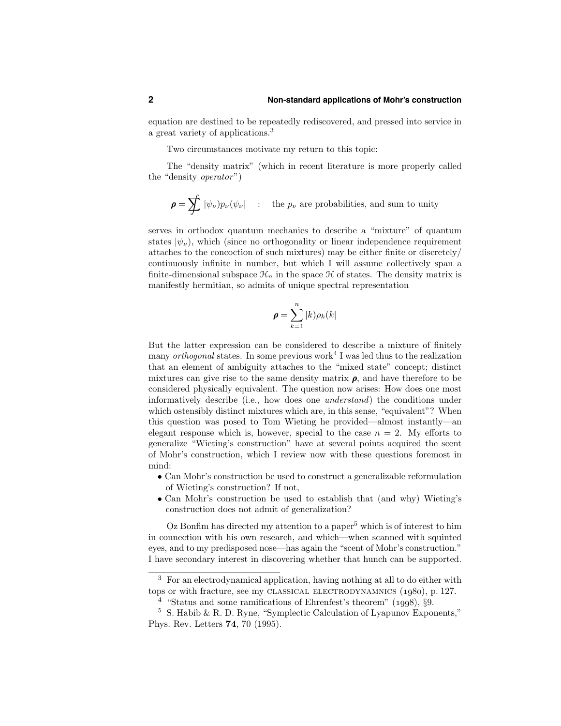equation are destined to be repeatedly rediscovered, and pressed into service in a great variety of applications.<sup>3</sup>

Two circumstances motivate my return to this topic:

The "density matrix" (which in recent literature is more properly called the "density operator")

$$
\pmb{\rho} = \sum\hspace{-1.5mm}\int |\psi_\nu) p_\nu(\psi_\nu| \quad : \quad \text{the $p_\nu$ are probabilities, and sum to unity}
$$

serves in orthodox quantum mechanics to describe a "mixture" of quantum states  $|\psi_{\nu}\rangle$ , which (since no orthogonality or linear independence requirement attaches to the concoction of such mixtures) may be either finite or discretely/ continuously infinite in number, but which I will assume collectively span a finite-dimensional subspace  $\mathcal{H}_n$  in the space  $\mathcal H$  of states. The density matrix is manifestly hermitian, so admits of unique spectral representation

$$
\boldsymbol{\rho} = \sum_{k=1}^{n} |k) \rho_k(k|
$$

But the latter expression can be considered to describe a mixture of finitely many *orthogonal* states. In some previous work<sup>4</sup> I was led thus to the realization that an element of ambiguity attaches to the "mixed state" concept; distinct mixtures can give rise to the same density matrix  $\rho$ , and have therefore to be considered physically equivalent. The question now arises: How does one most informatively describe (i.e., how does one understand) the conditions under which ostensibly distinct mixtures which are, in this sense, "equivalent"? When this question was posed to Tom Wieting he provided—almost instantly—an elegant response which is, however, special to the case  $n = 2$ . My efforts to generalize "Wieting's construction" have at several points acquired the scent of Mohr's construction, which I review now with these questions foremost in mind:

- Can Mohr's construction be used to construct a generalizable reformulation of Wieting's construction? If not,
- Can Mohr's construction be used to establish that (and why) Wieting's construction does not admit of generalization?

 $Oz$  Bonfim has directed my attention to a paper<sup>5</sup> which is of interest to him in connection with his own research, and which—when scanned with squinted eyes, and to my predisposed nose—has again the "scent of Mohr's construction." I have secondary interest in discovering whether that hunch can be supported.

<sup>3</sup> For an electrodynamical application, having nothing at all to do either with tops or with fracture, see my CLASSICAL ELECTRODYNAMNICS  $(1980)$ , p. 127.

<sup>&</sup>lt;sup>4</sup> "Status and some ramifications of Ehrenfest's theorem"  $(1998), §9.$ 

<sup>5</sup> S. Habib & R. D. Ryne, "Symplectic Calculation of Lyapunov Exponents," Phys. Rev. Letters 74, 70 (1995).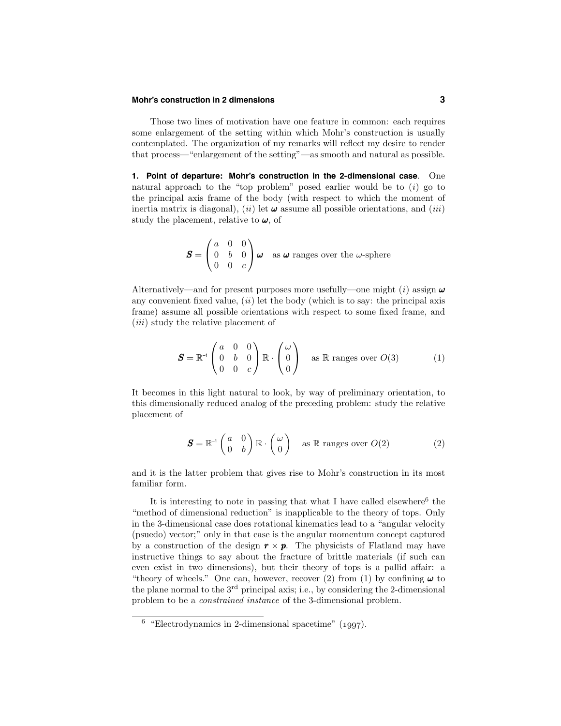#### **Mohr's construction in 2 dimensions 3**

Those two lines of motivation have one feature in common: each requires some enlargement of the setting within which Mohr's construction is usually contemplated. The organization of my remarks will reflect my desire to render that process—"enlargement of the setting"—as smooth and natural as possible.

**1. Point of departure: Mohr's construction in the 2-dimensional case**. One natural approach to the "top problem" posed earlier would be to  $(i)$  go to the principal axis frame of the body (with respect to which the moment of inertia matrix is diagonal), (ii) let  $\omega$  assume all possible orientations, and (iii) study the placement, relative to  $\omega$ , of

$$
\mathbf{S} = \begin{pmatrix} a & 0 & 0 \\ 0 & b & 0 \\ 0 & 0 & c \end{pmatrix} \boldsymbol{\omega} \quad \text{as } \boldsymbol{\omega} \text{ ranges over the } \omega \text{-sphere}
$$

Alternatively—and for present purposes more usefully—one might (i) assign  $\omega$ any convenient fixed value,  $(ii)$  let the body (which is to say: the principal axis frame) assume all possible orientations with respect to some fixed frame, and (*iii*) study the relative placement of

$$
\mathbf{S} = \mathbb{R}^{-1} \begin{pmatrix} a & 0 & 0 \\ 0 & b & 0 \\ 0 & 0 & c \end{pmatrix} \mathbb{R} \cdot \begin{pmatrix} \omega \\ 0 \\ 0 \end{pmatrix} \text{ as } \mathbb{R} \text{ ranges over } O(3) \tag{1}
$$

It becomes in this light natural to look, by way of preliminary orientation, to this dimensionally reduced analog of the preceding problem: study the relative placement of

$$
\mathbf{S} = \mathbb{R}^{-1} \begin{pmatrix} a & 0 \\ 0 & b \end{pmatrix} \mathbb{R} \cdot \begin{pmatrix} \omega \\ 0 \end{pmatrix} \quad \text{as } \mathbb{R} \text{ ranges over } O(2) \tag{2}
$$

and it is the latter problem that gives rise to Mohr's construction in its most familiar form.

It is interesting to note in passing that what I have called elsewhere<sup>6</sup> the "method of dimensional reduction" is inapplicable to the theory of tops. Only in the 3-dimensional case does rotational kinematics lead to a "angular velocity (psuedo) vector;" only in that case is the angular momentum concept captured by a construction of the design  $\mathbf{r} \times \mathbf{p}$ . The physicists of Flatland may have instructive things to say about the fracture of brittle materials (if such can even exist in two dimensions), but their theory of tops is a pallid affair: a "theory of wheels." One can, however, recover (2) from (1) by confining  $\boldsymbol{\omega}$  to the plane normal to the 3rd principal axis; i.e., by considering the 2-dimensional problem to be a constrained instance of the 3-dimensional problem.

 $6$  "Electrodynamics in 2-dimensional spacetime" (1997).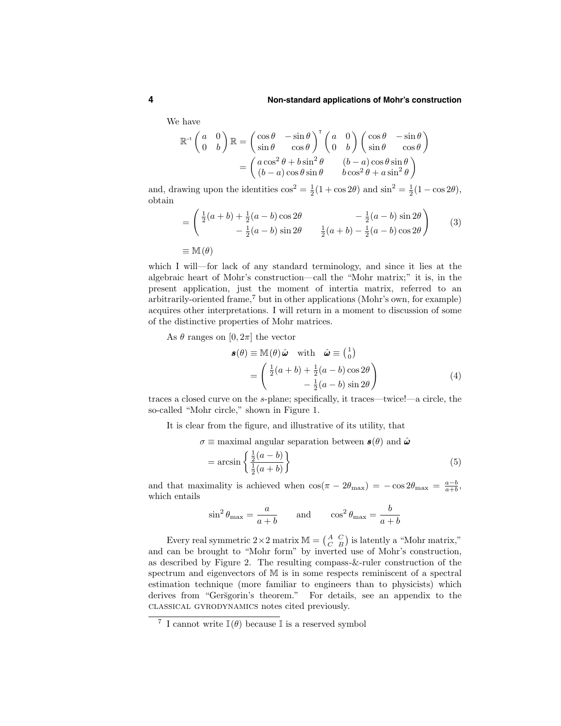#### **4 Non-standard applications of Mohr's construction**

We have

$$
\mathbb{R}^{-1}\begin{pmatrix} a & 0 \\ 0 & b \end{pmatrix} \mathbb{R} = \begin{pmatrix} \cos \theta & -\sin \theta \\ \sin \theta & \cos \theta \end{pmatrix}^{\mathrm{T}} \begin{pmatrix} a & 0 \\ 0 & b \end{pmatrix} \begin{pmatrix} \cos \theta & -\sin \theta \\ \sin \theta & \cos \theta \end{pmatrix}
$$

$$
= \begin{pmatrix} a\cos^2 \theta + b\sin^2 \theta & (b-a)\cos \theta \sin \theta \\ (b-a)\cos \theta \sin \theta & b\cos^2 \theta + a\sin^2 \theta \end{pmatrix}
$$

and, drawing upon the identities  $\cos^2 = \frac{1}{2}(1 + \cos 2\theta)$  and  $\sin^2 = \frac{1}{2}(1 - \cos 2\theta)$ , obtain

$$
= \begin{pmatrix} \frac{1}{2}(a+b) + \frac{1}{2}(a-b)\cos 2\theta & -\frac{1}{2}(a-b)\sin 2\theta \\ -\frac{1}{2}(a-b)\sin 2\theta & \frac{1}{2}(a+b) - \frac{1}{2}(a-b)\cos 2\theta \end{pmatrix}
$$
 (3)  

$$
\equiv M(\theta)
$$

which I will—for lack of any standard terminology, and since it lies at the algebraic heart of Mohr's construction—call the "Mohr matrix;" it is, in the present application, just the moment of intertia matrix, referred to an arbitrarily-oriented frame,<sup>7</sup> but in other applications (Mohr's own, for example) acquires other interpretations. I will return in a moment to discussion of some of the distinctive properties of Mohr matrices.

As  $\theta$  ranges on  $[0, 2\pi]$  the vector

$$
\mathbf{s}(\theta) \equiv \mathbb{M}(\theta) \hat{\boldsymbol{\omega}} \quad \text{with} \quad \hat{\boldsymbol{\omega}} \equiv \begin{pmatrix} 1 \\ 0 \end{pmatrix} = \begin{pmatrix} \frac{1}{2}(a+b) + \frac{1}{2}(a-b)\cos 2\theta \\ -\frac{1}{2}(a-b)\sin 2\theta \end{pmatrix}
$$
(4)

traces a closed curve on the s-plane; specifically, it traces—twice!—a circle, the so-called "Mohr circle," shown in Figure 1.

It is clear from the figure, and illustrative of its utility, that

 $\sigma \equiv$  maximal angular separation between  $\mathbf{s}(\theta)$  and  $\hat{\boldsymbol{\omega}}$ 

$$
= \arcsin\left\{\frac{\frac{1}{2}(a-b)}{\frac{1}{2}(a+b)}\right\} \tag{5}
$$

and that maximality is achieved when  $\cos(\pi - 2\theta_{\text{max}}) = -\cos 2\theta_{\text{max}} = \frac{a-b}{a+b}$ , which entails

$$
\sin^2 \theta_{\text{max}} = \frac{a}{a+b}
$$
 and  $\cos^2 \theta_{\text{max}} = \frac{b}{a+b}$ 

Every real symmetric  $2 \times 2$  matrix  $M = \begin{pmatrix} A & C \\ C & B \end{pmatrix}$  is latently a "Mohr matrix," and can be brought to "Mohr form" by inverted use of Mohr's construction, as described by Figure 2. The resulting compass-&-ruler construction of the spectrum and eigenvectors of M is in some respects reminiscent of a spectral estimation technique (more familiar to engineers than to physicists) which derives from "Geršgorin's theorem." For details, see an appendix to the classical gyrodynamics notes cited previously.

<sup>&</sup>lt;sup>7</sup> I cannot write  $\mathbb{I}(\theta)$  because I is a reserved symbol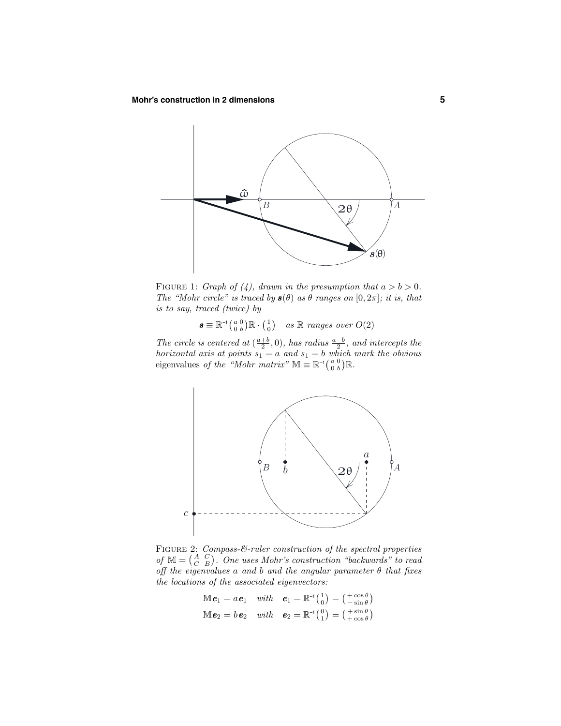

FIGURE 1: Graph of (4), drawn in the presumption that  $a > b > 0$ . The "Mohr circle" is traced by  $s(\theta)$  as  $\theta$  ranges on  $[0, 2\pi]$ ; it is, that is to say, traced (twice) by

 $\boldsymbol{s} \equiv \mathbb{R}^{-1} \begin{pmatrix} a & 0 \\ 0 & b \end{pmatrix} \mathbb{R} \cdot \begin{pmatrix} 1 \\ 0 \end{pmatrix}$  as  $\mathbb{R}$  ranges over  $O(2)$ 

The circle is centered at  $(\frac{a+b}{2},0)$ , has radius  $\frac{a-b}{2}$ , and intercepts the horizontal axis at points  $s_1 = a$  and  $s_1 = b$  which mark the obvious eigenvalues of the "Mohr matrix"  $\mathbb{M} \equiv \mathbb{R}^{-1} \begin{pmatrix} a & 0 \\ 0 & b \end{pmatrix} \mathbb{R}$ .



FIGURE 2: Compass-&-ruler construction of the spectral properties of  $M = \begin{pmatrix} A & C \\ C & B \end{pmatrix}$ . One uses Mohr's construction "backwards" to read off the eigenvalues a and b and the angular parameter  $\theta$  that fixes the locations of the associated eigenvectors:

$$
\mathbb{M}\boldsymbol{e}_1 = a\boldsymbol{e}_1 \quad with \quad \boldsymbol{e}_1 = \mathbb{R}^{-1}\begin{pmatrix} 1 \\ 0 \end{pmatrix} = \begin{pmatrix} +\cos\theta \\ -\sin\theta \end{pmatrix}
$$

$$
\mathbb{M}\boldsymbol{e}_2 = b\boldsymbol{e}_2 \quad with \quad \boldsymbol{e}_2 = \mathbb{R}^{-1}\begin{pmatrix} 0 \\ 1 \end{pmatrix} = \begin{pmatrix} +\sin\theta \\ +\cos\theta \end{pmatrix}
$$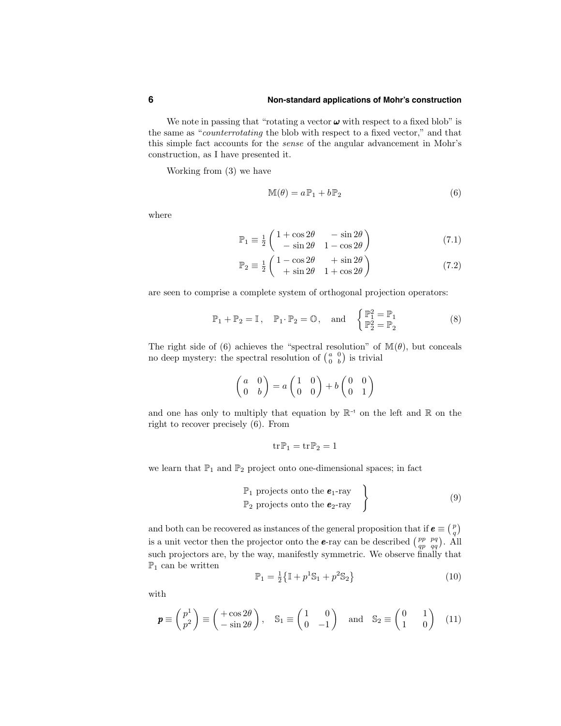#### **6 Non-standard applications of Mohr's construction**

We note in passing that "rotating a vector  $\boldsymbol{\omega}$  with respect to a fixed blob" is the same as "counterrotating the blob with respect to a fixed vector," and that this simple fact accounts for the sense of the angular advancement in Mohr's construction, as I have presented it.

Working from (3) we have

$$
\mathbb{M}(\theta) = a \mathbb{P}_1 + b \mathbb{P}_2 \tag{6}
$$

where

$$
\mathbb{P}_1 \equiv \frac{1}{2} \begin{pmatrix} 1 + \cos 2\theta & -\sin 2\theta \\ -\sin 2\theta & 1 - \cos 2\theta \end{pmatrix}
$$
 (7.1)

$$
\mathbb{P}_2 \equiv \frac{1}{2} \begin{pmatrix} 1 - \cos 2\theta & +\sin 2\theta \\ +\sin 2\theta & 1 + \cos 2\theta \end{pmatrix} \tag{7.2}
$$

are seen to comprise a complete system of orthogonal projection operators:

$$
\mathbb{P}_1 + \mathbb{P}_2 = \mathbb{I}, \quad \mathbb{P}_1 \cdot \mathbb{P}_2 = \mathbb{O}, \quad \text{and} \quad \begin{cases} \mathbb{P}_1^2 = \mathbb{P}_1 \\ \mathbb{P}_2^2 = \mathbb{P}_2 \end{cases} \tag{8}
$$

The right side of (6) achieves the "spectral resolution" of  $\mathbb{M}(\theta)$ , but conceals no deep mystery: the spectral resolution of  $\begin{pmatrix} a & 0 \\ 0 & b \end{pmatrix}$  is trivial

$$
\begin{pmatrix} a & 0 \\ 0 & b \end{pmatrix} = a \begin{pmatrix} 1 & 0 \\ 0 & 0 \end{pmatrix} + b \begin{pmatrix} 0 & 0 \\ 0 & 1 \end{pmatrix}
$$

and one has only to multiply that equation by  $\mathbb{R}^{-1}$  on the left and  $\mathbb R$  on the right to recover precisely (6). From

$$
\operatorname{tr} \mathbb{P}_1 = \operatorname{tr} \mathbb{P}_2 = 1
$$

we learn that  $\mathbb{P}_1$  and  $\mathbb{P}_2$  project onto one-dimensional spaces; in fact

$$
\mathbb{P}_1 \text{ projects onto the } \mathbf{e}_1\text{-ray} \\
\mathbb{P}_2 \text{ projects onto the } \mathbf{e}_2\text{-ray} \quad \left.\right\}
$$
\n(9)

and both can be recovered as instances of the general proposition that if  $e \equiv \binom{p}{q}$ is a unit vector then the projector onto the **e**-ray can be described  $\begin{pmatrix} pp & pq \\ qp & qq \end{pmatrix}$ . All such projectors are, by the way, manifestly symmetric. We observe finally that  $\mathbb{P}_1$  can be written

$$
\mathbb{P}_1 = \frac{1}{2} \{ \mathbb{I} + p^1 \mathbb{S}_1 + p^2 \mathbb{S}_2 \}
$$
 (10)

with

$$
\mathbf{p} \equiv \begin{pmatrix} p^1 \\ p^2 \end{pmatrix} \equiv \begin{pmatrix} +\cos 2\theta \\ -\sin 2\theta \end{pmatrix}, \quad \mathbb{S}_1 \equiv \begin{pmatrix} 1 & 0 \\ 0 & -1 \end{pmatrix} \quad \text{and} \quad \mathbb{S}_2 \equiv \begin{pmatrix} 0 & 1 \\ 1 & 0 \end{pmatrix} \quad (11)
$$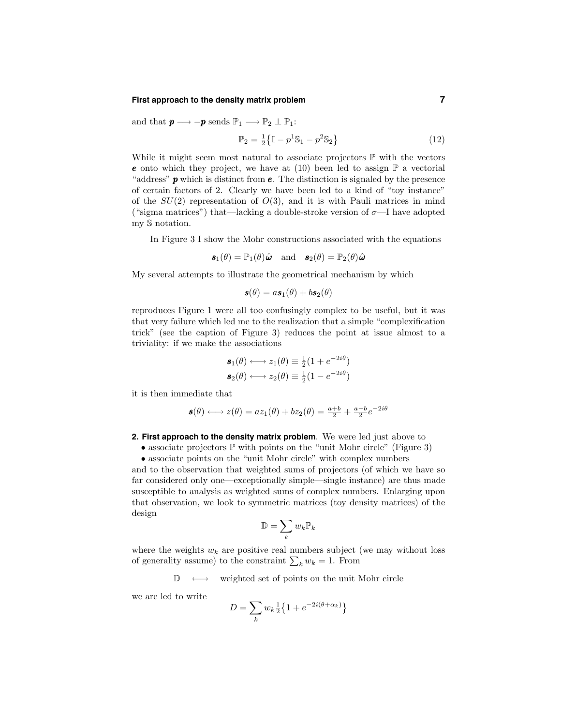#### **First approach to the density matrix problem 7**

and that  $\mathbf{p} \longrightarrow -\mathbf{p}$  sends  $\mathbb{P}_1 \longrightarrow \mathbb{P}_2 \perp \mathbb{P}_1$ :

$$
\mathbb{P}_2 = \frac{1}{2} \{ \mathbb{I} - p^1 \mathbb{S}_1 - p^2 \mathbb{S}_2 \}
$$
 (12)

While it might seem most natural to associate projectors  $\mathbb P$  with the vectors **e** onto which they project, we have at (10) been led to assign  $\mathbb{P}$  a vectorial "address"  $\boldsymbol{p}$  which is distinct from  $\boldsymbol{e}$ . The distinction is signaled by the presence of certain factors of 2. Clearly we have been led to a kind of "toy instance" of the  $SU(2)$  representation of  $O(3)$ , and it is with Pauli matrices in mind ("sigma matrices") that—lacking a double-stroke version of  $\sigma$ —I have adopted my S notation.

In Figure 3 I show the Mohr constructions associated with the equations

$$
\mathbf{s}_1(\theta) = \mathbb{P}_1(\theta)\hat{\boldsymbol{\omega}}
$$
 and  $\mathbf{s}_2(\theta) = \mathbb{P}_2(\theta)\hat{\boldsymbol{\omega}}$ 

My several attempts to illustrate the geometrical mechanism by which

$$
\mathbf{s}(\theta) = a\mathbf{s}_1(\theta) + b\mathbf{s}_2(\theta)
$$

reproduces Figure 1 were all too confusingly complex to be useful, but it was that very failure which led me to the realization that a simple "complexification trick" (see the caption of Figure 3) reduces the point at issue almost to a triviality: if we make the associations

$$
\mathbf{s}_1(\theta) \longleftrightarrow z_1(\theta) \equiv \frac{1}{2}(1 + e^{-2i\theta})
$$
  

$$
\mathbf{s}_2(\theta) \longleftrightarrow z_2(\theta) \equiv \frac{1}{2}(1 - e^{-2i\theta})
$$

it is then immediate that

$$
\mathbf{s}(\theta) \longleftrightarrow z(\theta) = az_1(\theta) + bz_2(\theta) = \frac{a+b}{2} + \frac{a-b}{2}e^{-2i\theta}
$$

#### **2. First approach to the density matrix problem**. We were led just above to

• associate projectors  $\mathbb P$  with points on the "unit Mohr circle" (Figure 3)

• associate points on the "unit Mohr circle" with complex numbers

and to the observation that weighted sums of projectors (of which we have so far considered only one—exceptionally simple—single instance) are thus made susceptible to analysis as weighted sums of complex numbers. Enlarging upon that observation, we look to symmetric matrices (toy density matrices) of the design

$$
\mathbb{D}=\sum_k w_k \mathbb{P}_k
$$

where the weights  $w_k$  are positive real numbers subject (we may without loss of generality assume) to the constraint  $\sum_k w_k = 1$ . From

 $\mathbb{D} \longleftrightarrow$  weighted set of points on the unit Mohr circle

we are led to write

$$
D=\sum_k w_k \tfrac{1}{2}\big\{1+e^{-2i(\theta+\alpha_k)}\big\}
$$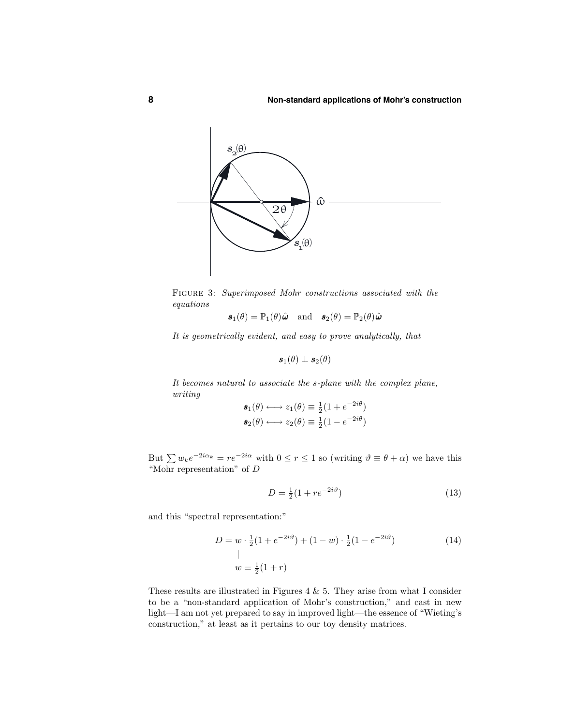

Figure 3: Superimposed Mohr constructions associated with the equations

 $\mathbf{s}_1(\theta) = \mathbb{P}_1(\theta)\hat{\boldsymbol{\omega}}$  and  $\mathbf{s}_2(\theta) = \mathbb{P}_2(\theta)\hat{\boldsymbol{\omega}}$ 

It is geometrically evident, and easy to prove analytically, that

$$
\bm{s}_1(\theta) \perp \bm{s}_2(\theta)
$$

It becomes natural to associate the s-plane with the complex plane, writing

$$
\mathbf{s}_1(\theta) \longleftrightarrow z_1(\theta) \equiv \frac{1}{2}(1 + e^{-2i\theta})
$$
  

$$
\mathbf{s}_2(\theta) \longleftrightarrow z_2(\theta) \equiv \frac{1}{2}(1 - e^{-2i\theta})
$$

But  $\sum w_k e^{-2i\alpha_k} = re^{-2i\alpha}$  with  $0 \le r \le 1$  so (writing  $\vartheta \equiv \theta + \alpha$ ) we have this "Mohr representation" of  ${\cal D}$ 

$$
D = \frac{1}{2}(1 + re^{-2i\vartheta})
$$
\n(13)

and this "spectral representation:"

$$
D = w \cdot \frac{1}{2} (1 + e^{-2i\vartheta}) + (1 - w) \cdot \frac{1}{2} (1 - e^{-2i\vartheta})
$$
  
\n
$$
w = \frac{1}{2} (1 + r)
$$
 (14)

These results are illustrated in Figures 4  $\&$  5. They arise from what I consider to be a "non-standard application of Mohr's construction," and cast in new light—I am not yet prepared to say in improved light—the essence of "Wieting's construction," at least as it pertains to our toy density matrices.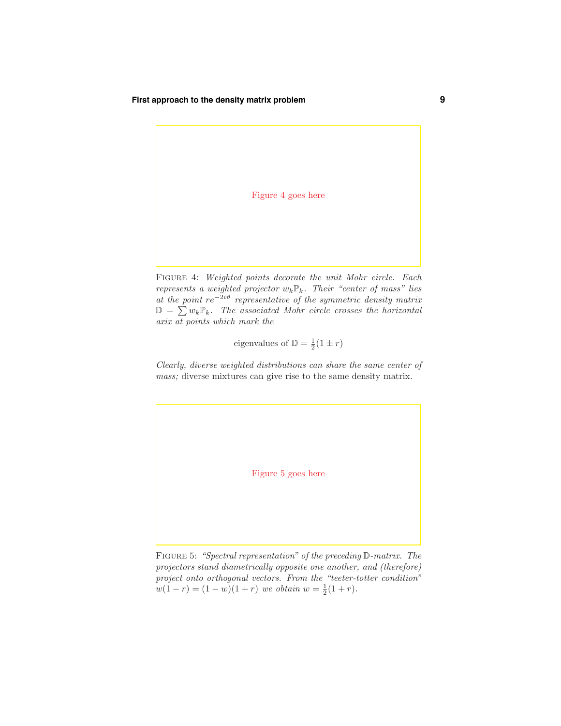#### **First approach to the density matrix problem 9**

Figure 4 goes here

FIGURE 4: Weighted points decorate the unit Mohr circle. Each represents a weighted projector  $w_k \mathbb{P}_k$ . Their "center of mass" lies at the point  $re^{-2i\vartheta}$  representative of the symmetric density matrix  $\mathbb{D} = \sum_{k=1}^{n} w_k \mathbb{P}_k$ . The associated Mohr circle crosses the horizontal axix at points which mark the

eigenvalues of  $\mathbb{D} = \frac{1}{2}(1 \pm r)$ 

Clearly, diverse weighted distributions can share the same center of mass; diverse mixtures can give rise to the same density matrix.

Figure 5 goes here

Figure 5: "Spectral representation" of the preceding D-matrix. The projectors stand diametrically opposite one another, and (therefore) project onto orthogonal vectors. From the "teeter-totter condition"  $w(1 - r) = (1 - w)(1 + r)$  we obtain  $w = \frac{1}{2}(1 + r)$ .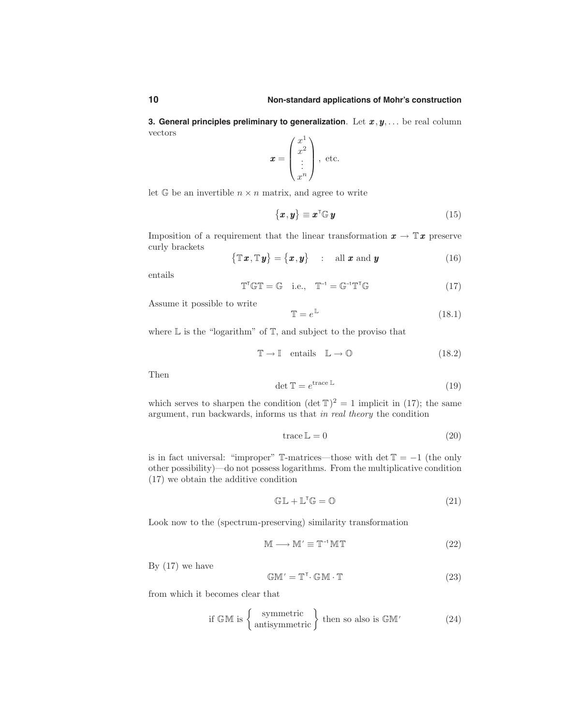**3. General principles preliminary to generalization.** Let  $x, y, \ldots$  be real column vectors

$$
\boldsymbol{x} = \begin{pmatrix} x^1 \\ x^2 \\ \vdots \\ x^n \end{pmatrix}, \text{ etc.}
$$

let  $\mathbb{G}$  be an invertible  $n \times n$  matrix, and agree to write

$$
\{\boldsymbol{x}, \boldsymbol{y}\} \equiv \boldsymbol{x}^{\mathsf{T}} \mathbb{G} \, \boldsymbol{y} \tag{15}
$$

Imposition of a requirement that the linear transformation  $x \to \mathbb{T} x$  preserve curly brackets

$$
\{\mathbb{T}\boldsymbol{x},\mathbb{T}\boldsymbol{y}\} = \{\boldsymbol{x},\boldsymbol{y}\} \quad : \quad \text{all } \boldsymbol{x} \text{ and } \boldsymbol{y} \tag{16}
$$

entails

$$
\mathbb{T}^{\mathsf{T}}\mathbb{GT} = \mathbb{G} \quad \text{i.e.,} \quad \mathbb{T}^{-1} = \mathbb{G}^{-1}\mathbb{T}^{\mathsf{T}}\mathbb{G} \tag{17}
$$

Assume it possible to write

$$
\mathbb{T} = e^{\mathbb{L}} \tag{18.1}
$$

where  $\mathbb L$  is the "logarithm" of  $\mathbb T$ , and subject to the proviso that

$$
\mathbb{T} \to \mathbb{I} \quad \text{entails} \quad \mathbb{L} \to \mathbb{O} \tag{18.2}
$$

Then

$$
\det \mathbb{T} = e^{\text{trace }\mathbb{L}} \tag{19}
$$

which serves to sharpen the condition  $(\det T)^2 = 1$  implicit in (17); the same argument, run backwards, informs us that in real theory the condition

$$
trace L = 0 \tag{20}
$$

is in fact universal: "improper"  $\mathbb{T}$ -matrices—those with det  $\mathbb{T} = -1$  (the only other possibility)—do not possess logarithms. From the multiplicative condition (17) we obtain the additive condition

$$
\mathbb{GL} + \mathbb{L}^{\mathsf{T}} \mathbb{G} = \mathbb{O} \tag{21}
$$

Look now to the (spectrum-preserving) similarity transformation

$$
M \longrightarrow M' \equiv T^{-1}MT \tag{22}
$$

By  $(17)$  we have

$$
\mathbb{GM}' = \mathbb{T}^{\mathsf{T}} \cdot \mathbb{GM} \cdot \mathbb{T} \tag{23}
$$

from which it becomes clear that

if 
$$
\mathbb{G} \mathbb{M}
$$
 is  $\left\{ \begin{array}{c} \text{symmetric} \\ \text{antisymmetric} \end{array} \right\}$  then so also is  $\mathbb{G} \mathbb{M}'$  (24)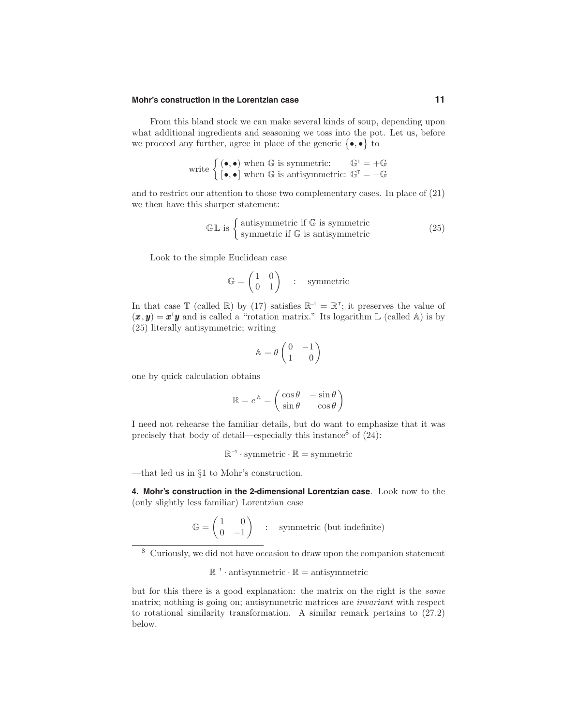From this bland stock we can make several kinds of soup, depending upon what additional ingredients and seasoning we toss into the pot. Let us, before we proceed any further, agree in place of the generic  $\{\bullet,\bullet\}$  to

write 
$$
\left\{ \begin{matrix} (\bullet, \bullet) \text{ when } \mathbb{G} \text{ is symmetric:} & \mathbb{G}^{\mathsf{T}} = +\mathbb{G} \\ [\bullet, \bullet] \text{ when } \mathbb{G} \text{ is antisymmetric: } \mathbb{G}^{\mathsf{T}} = -\mathbb{G} \end{matrix} \right.
$$

and to restrict our attention to those two complementary cases. In place of (21) we then have this sharper statement:

$$
\mathbb{GL} \text{ is } \begin{cases} \text{antisymmetric if } \mathbb{G} \text{ is symmetric} \\ \text{symmetric if } \mathbb{G} \text{ is antisymmetric} \end{cases} \tag{25}
$$

Look to the simple Euclidean case

$$
\mathbb{G} = \begin{pmatrix} 1 & 0 \\ 0 & 1 \end{pmatrix} \quad : \quad \text{symmetric}
$$

In that case  $\mathbb T$  (called  $\mathbb R$ ) by (17) satisfies  $\mathbb R^{-1} = \mathbb R^{T}$ ; it preserves the value of  $(x, y) = x^T y$  and is called a "rotation matrix." Its logarithm L (called A) is by (25) literally antisymmetric; writing

$$
\mathbb{A}=\theta\begin{pmatrix}0&-1\\1&0\end{pmatrix}
$$

one by quick calculation obtains

$$
\mathbb{R} = e^{\mathbb{A}} = \begin{pmatrix} \cos \theta & -\sin \theta \\ \sin \theta & \cos \theta \end{pmatrix}
$$

I need not rehearse the familiar details, but do want to emphasize that it was precisely that body of detail—especially this instance<sup>8</sup> of  $(24)$ :

 $\mathbb{R}^{-1}$  · symmetric  $\cdot \mathbb{R} =$  symmetric

—that led us in §1 to Mohr's construction.

**4. Mohr's construction in the 2-dimensional Lorentzian case**. Look now to the (only slightly less familiar) Lorentzian case

$$
\mathbb{G} = \begin{pmatrix} 1 & 0 \\ 0 & -1 \end{pmatrix} \quad : \quad \text{symmetric (but indefinite)}
$$

<sup>8</sup> Curiously, we did not have occasion to draw upon the companion statement

$$
\mathbb{R}^{-1} \cdot \text{antisymmetric} \cdot \mathbb{R} = \text{antisymmetric}
$$

but for this there is a good explanation: the matrix on the right is the same matrix; nothing is going on; antisymmetric matrices are invariant with respect to rotational similarity transformation. A similar remark pertains to (27.2) below.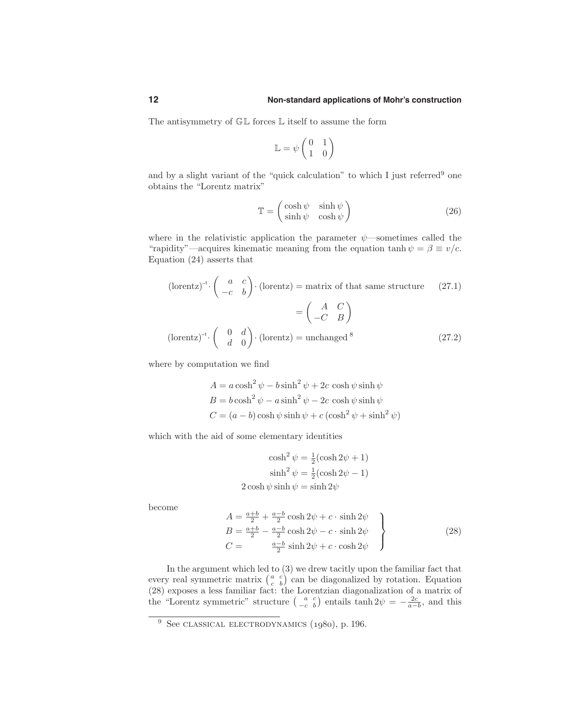The antisymmetry of  $\mathbb{GL}$  forces  $\mathbb L$  itself to assume the form

$$
\mathbb{L} = \psi \begin{pmatrix} 0 & 1 \\ 1 & 0 \end{pmatrix}
$$

and by a slight variant of the "quick calculation" to which I just referred<sup>9</sup> one obtains the "Lorentz matrix"

$$
\mathbb{T} = \begin{pmatrix} \cosh \psi & \sinh \psi \\ \sinh \psi & \cosh \psi \end{pmatrix}
$$
 (26)

where in the relativistic application the parameter  $\psi$ —sometimes called the "rapidity"—acquires kinematic meaning from the equation tanh  $\psi = \beta \equiv v/c$ . Equation (24) asserts that

$$
(\text{lorentz})^{-1} \cdot \begin{pmatrix} a & c \\ -c & b \end{pmatrix} \cdot (\text{lorentz}) = \text{matrix of that same structure} \qquad (27.1)
$$

$$
= \begin{pmatrix} A & C \\ -C & B \end{pmatrix}
$$

$$
(\text{lorentz})^{-1} \cdot \begin{pmatrix} 0 & d \\ d & 0 \end{pmatrix} \cdot (\text{lorentz}) = \text{unchanged}^8 \qquad (27.2)
$$

where by computation we find

$$
A = a \cosh^{2} \psi - b \sinh^{2} \psi + 2c \cosh \psi \sinh \psi
$$
  
\n
$$
B = b \cosh^{2} \psi - a \sinh^{2} \psi - 2c \cosh \psi \sinh \psi
$$
  
\n
$$
C = (a - b) \cosh \psi \sinh \psi + c (\cosh^{2} \psi + \sinh^{2} \psi)
$$

which with the aid of some elementary identities

$$
\cosh^2 \psi = \frac{1}{2} (\cosh 2\psi + 1)
$$

$$
\sinh^2 \psi = \frac{1}{2} (\cosh 2\psi - 1)
$$

$$
2 \cosh \psi \sinh \psi = \sinh 2\psi
$$

become

$$
A = \frac{a+b}{2} + \frac{a-b}{2}\cosh 2\psi + c \cdot \sinh 2\psi
$$
  
\n
$$
B = \frac{a+b}{2} - \frac{a-b}{2}\cosh 2\psi - c \cdot \sinh 2\psi
$$
  
\n
$$
C = \frac{a-b}{2}\sinh 2\psi + c \cdot \cosh 2\psi
$$
\n(28)

In the argument which led to (3) we drew tacitly upon the familiar fact that every real symmetric matrix  $\begin{pmatrix} a & c \\ c & b \end{pmatrix}$  can be diagonalized by rotation. Equation (28) exposes a less familiar fact: the Lorentzian diagonalization of a matrix of the "Lorentz symmetric" structure  $\begin{pmatrix} a & c \\ -c & b \end{pmatrix}$  entails tanh  $2\psi = -\frac{2c}{a-b}$ , and this

<sup>&</sup>lt;sup>9</sup> See CLASSICAL ELECTRODYNAMICS  $(1980)$ , p. 196.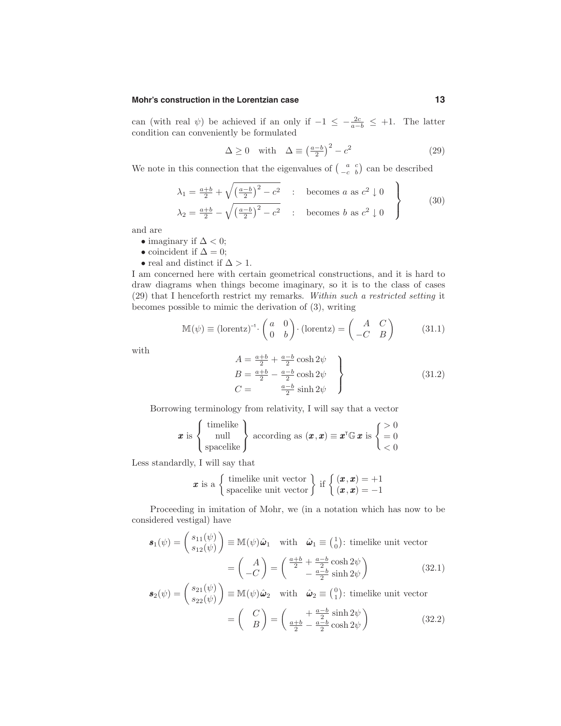can (with real  $\psi$ ) be achieved if an only if  $-1 \leq -\frac{2c}{a-b} \leq +1$ . The latter condition can conveniently be formulated

$$
\Delta \ge 0 \quad \text{with} \quad \Delta \equiv \left(\frac{a-b}{2}\right)^2 - c^2 \tag{29}
$$

We note in this connection that the eigenvalues of  $\begin{pmatrix} a & c \\ -c & b \end{pmatrix}$  can be described

$$
\lambda_1 = \frac{a+b}{2} + \sqrt{\left(\frac{a-b}{2}\right)^2 - c^2} \quad : \quad \text{becomes } a \text{ as } c^2 \downarrow 0
$$
\n
$$
\lambda_2 = \frac{a+b}{2} - \sqrt{\left(\frac{a-b}{2}\right)^2 - c^2} \quad : \quad \text{becomes } b \text{ as } c^2 \downarrow 0
$$
\n
$$
(30)
$$

and are

- imaginary if  $\Delta < 0$ ;
- coincident if  $\Delta = 0$ ;
- real and distinct if  $\Delta > 1$ .

I am concerned here with certain geometrical constructions, and it is hard to draw diagrams when things become imaginary, so it is to the class of cases (29) that I henceforth restrict my remarks. Within such a restricted setting it becomes possible to mimic the derivation of (3), writing

$$
\mathbb{M}(\psi) \equiv (\text{lorentz})^{-1} \cdot \begin{pmatrix} a & 0 \\ 0 & b \end{pmatrix} \cdot (\text{lorentz}) = \begin{pmatrix} A & C \\ -C & B \end{pmatrix}
$$
 (31.1)

with

 $\boldsymbol{s}$ 

$$
A = \frac{a+b}{2} + \frac{a-b}{2}\cosh 2\psi
$$
  
\n
$$
B = \frac{a+b}{2} - \frac{a-b}{2}\cosh 2\psi
$$
  
\n
$$
C = \frac{a-b}{2}\sinh 2\psi
$$
\n(31.2)

Borrowing terminology from relativity, I will say that a vector

$$
\pmb{x} \text{ is } \left\{ \begin{array}{c} \text{timelike} \\ \text{null} \\ \text{spacelike} \end{array} \right\} \text{ according as } (\pmb{x}, \pmb{x}) \equiv \pmb{x}^{\text{T}} \mathbb{G} \pmb{x} \text{ is } \left\{ \begin{array}{c} > 0 \\ = 0 \\ < 0 \end{array} \right.
$$

Less standardly, I will say that

**x** is a 
$$
\left\{\begin{array}{l}\text{timelike unit vector} \\ \text{spacelike unit vector}\end{array}\right\}
$$
 if  $\left\{\begin{array}{l}(x, x) = +1 \\ (x, x) = -1\end{array}\right\}$ 

Proceeding in imitation of Mohr, we (in a notation which has now to be considered vestigal) have

$$
\mathbf{s}_{1}(\psi) = \begin{pmatrix} s_{11}(\psi) \\ s_{12}(\psi) \end{pmatrix} \equiv \mathbb{M}(\psi)\hat{\boldsymbol{\omega}}_{1} \quad \text{with} \quad \hat{\boldsymbol{\omega}}_{1} \equiv \begin{pmatrix} 1 \\ 0 \end{pmatrix}: \text{ timelike unit vector}
$$

$$
= \begin{pmatrix} A \\ -C \end{pmatrix} = \begin{pmatrix} \frac{a+b}{2} + \frac{a-b}{2} \cosh 2\psi \\ -\frac{a-b}{2} \sinh 2\psi \end{pmatrix}
$$
(32.1)

$$
a_2(\psi) = \begin{pmatrix} s_{21}(\psi) \\ s_{22}(\psi) \end{pmatrix} \equiv \mathbb{M}(\psi)\hat{\boldsymbol{\omega}}_2 \quad \text{with} \quad \hat{\boldsymbol{\omega}}_2 \equiv \begin{pmatrix} 0 \\ 1 \end{pmatrix}: \text{ timelike unit vector}
$$

$$
= \begin{pmatrix} C \\ B \end{pmatrix} = \begin{pmatrix} +\frac{a-b}{2}\sinh 2\psi \\ \frac{a+b}{2} - \frac{a-b}{2}\cosh 2\psi \end{pmatrix}
$$
(32.2)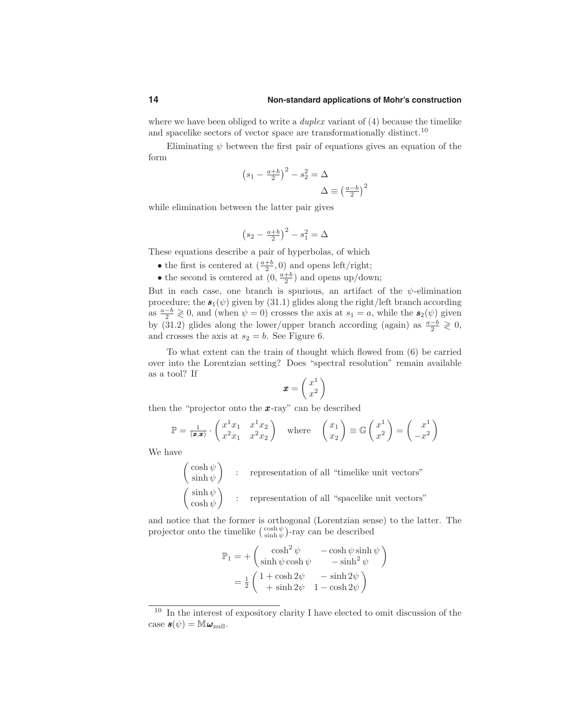### **14 Non-standard applications of Mohr's construction**

where we have been obliged to write a *duplex* variant of  $(4)$  because the timelike and spacelike sectors of vector space are transformationally distinct.<sup>10</sup>

Eliminating  $\psi$  between the first pair of equations gives an equation of the form

$$
\left(s_1 - \frac{a+b}{2}\right)^2 - s_2^2 = \Delta
$$

$$
\Delta \equiv \left(\frac{a-b}{2}\right)^2
$$

while elimination between the latter pair gives

$$
\left(s_2-\tfrac{a+b}{2}\right)^2-s_1^2=\Delta
$$

These equations describe a pair of hyperbolas, of which

- the first is centered at  $\left(\frac{a+b}{2},0\right)$  and opens left/right;
- the second is centered at  $(0, \frac{a+b}{2})$  and opens up/down;

But in each case, one branch is spurious, an artifact of the  $\psi$ -elimination procedure; the  $s_1(\psi)$  given by (31.1) glides along the right/left branch according as  $\frac{a-b}{2} \geq 0$ , and (when  $\psi = 0$ ) crosses the axis at  $s_1 = a$ , while the  $s_2(\psi)$  given by (31.2) glides along the lower/upper branch according (again) as  $\frac{a-b}{2} \geq 0$ , and crosses the axis at  $s_2 = b$ . See Figure 6.

To what extent can the train of thought which flowed from (6) be carried over into the Lorentzian setting? Does "spectral resolution" remain available as a tool? If

$$
\pmb{x} = \left(\frac{x^1}{x^2}\right)
$$

then the "projector onto the  $x$ -ray" can be described

$$
\mathbb{P} = \frac{1}{(x,x)} \cdot \begin{pmatrix} x^1 x_1 & x^1 x_2 \\ x^2 x_1 & x^2 x_2 \end{pmatrix} \text{ where } \begin{pmatrix} x_1 \\ x_2 \end{pmatrix} \equiv \mathbb{G} \begin{pmatrix} x^1 \\ x^2 \end{pmatrix} = \begin{pmatrix} x^1 \\ -x^2 \end{pmatrix}
$$

We have

$$
\begin{pmatrix}\cosh\psi \\ \sinh\psi \\ \cosh\psi \end{pmatrix} \hspace{0.2cm} : \hspace{0.2cm} \text{representation of all "timelike unit vectors"}
$$
 
$$
\begin{pmatrix}\sinh\psi \\ \cosh\psi \end{pmatrix} \hspace{0.2cm} : \hspace{0.2cm} \text{representation of all "spacelike unit vectors"}
$$

and notice that the former is orthogonal (Lorentzian sense) to the latter. The projector onto the timelike  $\binom{\cosh \psi}{\sinh \psi}$ -ray can be described

$$
\mathbb{P}_1 = + \begin{pmatrix} \cosh^2 \psi & -\cosh \psi \sinh \psi \\ \sinh \psi \cosh \psi & -\sinh^2 \psi \end{pmatrix}
$$

$$
= \frac{1}{2} \begin{pmatrix} 1 + \cosh 2\psi & -\sinh 2\psi \\ + \sinh 2\psi & 1 - \cosh 2\psi \end{pmatrix}
$$

 $10$  In the interest of expository clarity I have elected to omit discussion of the case  $\mathbf{s}(\psi) = \mathbb{M} \boldsymbol{\omega}_{\text{null}}$ .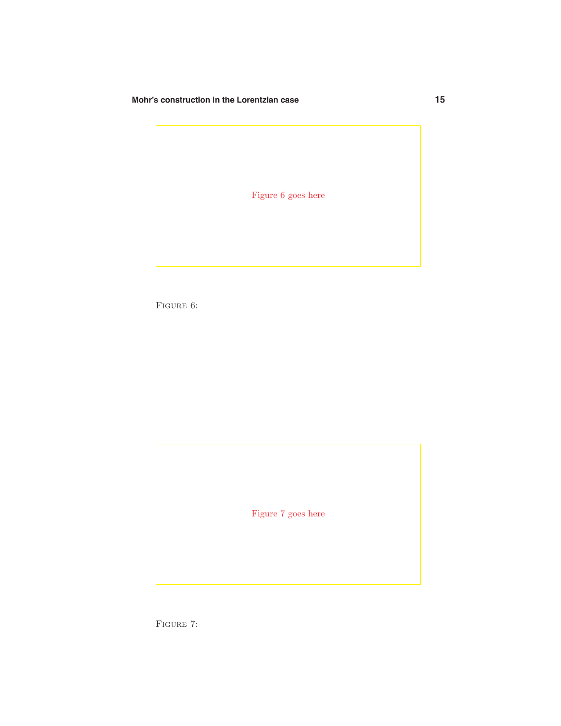Figure 6 goes here

FIGURE 6:

Figure 7 goes here

FIGURE 7: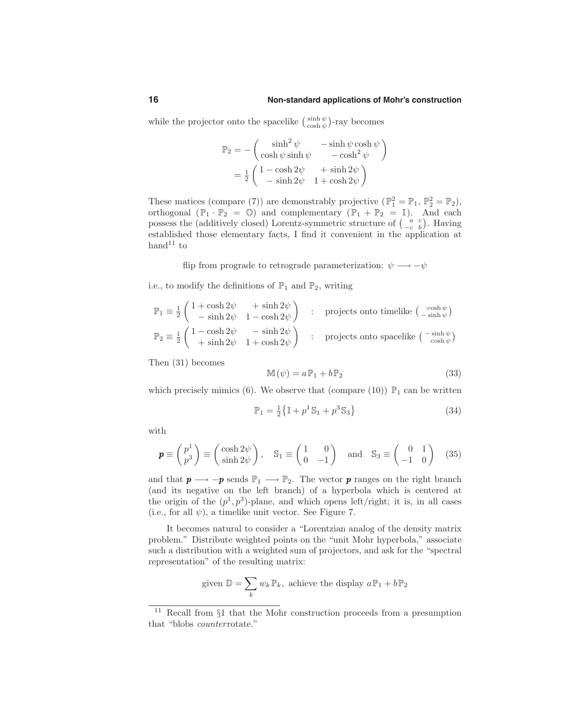while the projector onto the spacelike  $\binom{\sinh \psi}{\cosh \psi}$ -ray becomes

$$
\mathbb{P}_2 = -\begin{pmatrix} \sinh^2 \psi & -\sinh \psi \cosh \psi \\ \cosh \psi \sinh \psi & -\cosh^2 \psi \end{pmatrix}
$$

$$
= \frac{1}{2} \begin{pmatrix} 1 - \cosh 2\psi & +\sinh 2\psi \\ -\sinh 2\psi & 1 + \cosh 2\psi \end{pmatrix}
$$

These matices (compare (7)) are demonstrably projective  $(\mathbb{P}_1^2 = \mathbb{P}_1, \mathbb{P}_2^2 = \mathbb{P}_2)$ , orthogonal  $(\mathbb{P}_1 \cdot \mathbb{P}_2 = \mathbb{Q})$  and complementary  $(\mathbb{P}_1 + \mathbb{P}_2 = \mathbb{I})$ . And each possess the (additively closed) Lorentz-symmetric structure of  $\begin{pmatrix} a & c \\ -c & b \end{pmatrix}$ . Having established those elementary facts, I find it convenient in the application at hand<sup>11</sup> to

flip from prograde to retrograde parameterization:  $\psi \rightarrow -\psi$ 

i.e., to modify the definitions of  $\mathbb{P}_1$  and  $\mathbb{P}_2$ , writing

$$
\begin{array}{lcl} \mathbb{P}_1 \equiv \frac{1}{2}\left( \begin{array}{ccc} 1 + \cosh 2\psi & + \sinh 2\psi \\ - \sinh 2\psi & 1 - \cosh 2\psi \end{array} \right) & : & \text{ projects onto timelike } \left( \begin{array}{c} \cosh \psi \\ - \sinh \psi \end{array} \right) \\ \mathbb{P}_2 \equiv \frac{1}{2}\left( \begin{array}{ccc} 1 - \cosh 2\psi & - \sinh 2\psi \\ + \sinh 2\psi & 1 + \cosh 2\psi \end{array} \right) & : & \text{ projects onto spacelike } \left( \begin{array}{c} - \sinh \psi \\ \cosh \psi \end{array} \right) \end{array}
$$

Then (31) becomes

$$
\mathbb{M}(\psi) = a\mathbb{P}_1 + b\mathbb{P}_2 \tag{33}
$$

which precisely mimics (6). We observe that (compare (10))  $\mathbb{P}_1$  can be written

$$
\mathbb{P}_1 = \frac{1}{2} \{ \mathbb{I} + p^1 \mathbb{S}_1 + p^3 \mathbb{S}_3 \}
$$
 (34)

with

$$
\boldsymbol{p} \equiv \begin{pmatrix} p^1 \\ p^3 \end{pmatrix} \equiv \begin{pmatrix} \cosh 2\psi \\ \sinh 2\psi \end{pmatrix}, \quad \mathbb{S}_1 \equiv \begin{pmatrix} 1 & 0 \\ 0 & -1 \end{pmatrix} \quad \text{and} \quad \mathbb{S}_3 \equiv \begin{pmatrix} 0 & 1 \\ -1 & 0 \end{pmatrix} \tag{35}
$$

and that  $p \longrightarrow -p$  sends  $\mathbb{P}_1 \longrightarrow \mathbb{P}_2$ . The vector p ranges on the right branch (and its negative on the left branch) of a hyperbola which is centered at the origin of the  $(p^1, p^3)$ -plane, and which opens left/right; it is, in all cases (i.e., for all  $\psi$ ), a timelike unit vector. See Figure 7.

It becomes natural to consider a "Lorentzian analog of the density matrix problem." Distribute weighted points on the "unit Mohr hyperbola," associate such a distribution with a weighted sum of projectors, and ask for the "spectral representation" of the resulting matrix:

given 
$$
\mathbb{D} = \sum_{k} w_k \mathbb{P}_k
$$
, achieve the display  $a\mathbb{P}_1 + b\mathbb{P}_2$ 

<sup>11</sup> Recall from §<sup>1</sup> that the Mohr construction proceeds from <sup>a</sup> presumption that "blobs *counterrotate.*"